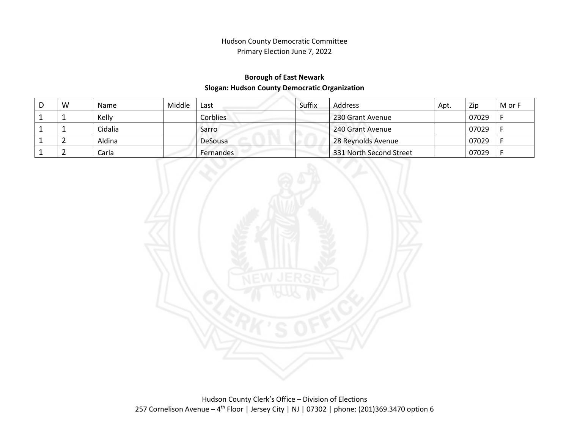### **Borough of East Newark Slogan: Hudson County Democratic Organization**

| W | <b>Name</b> | Middle | Last            | Suffix | Address                 | Apt. | Zip   | M or F |
|---|-------------|--------|-----------------|--------|-------------------------|------|-------|--------|
|   | Kelly       |        | <b>Corblies</b> |        | 230 Grant Avenue        |      | 07029 |        |
|   | Cidalia     |        | Sarro           |        | 240 Grant Avenue        |      | 07029 |        |
|   | Aldina      |        | DeSousa         |        | 28 Reynolds Avenue      |      | 07029 |        |
|   | Carla       |        | Fernandes       |        | 331 North Second Street |      | 07029 |        |

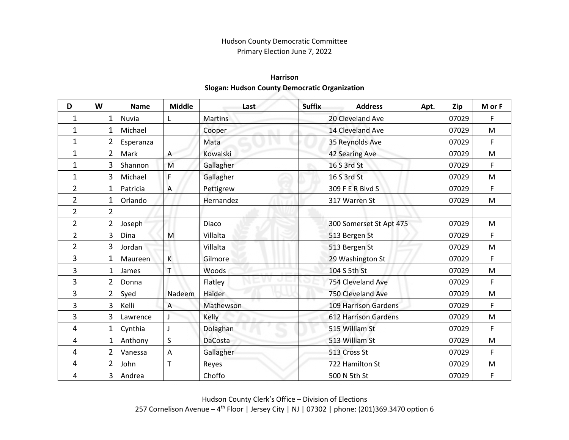### **Harrison Slogan: Hudson County Democratic Organization**

| D              | W              | <b>Name</b> | <b>Middle</b> | Last           | <b>Suffix</b> | <b>Address</b>              | Apt. | Zip   | M or F    |
|----------------|----------------|-------------|---------------|----------------|---------------|-----------------------------|------|-------|-----------|
| 1              | 1              | Nuvia       |               | <b>Martins</b> |               | 20 Cleveland Ave            |      | 07029 | F         |
| $\mathbf 1$    | 1              | Michael     |               | Cooper<br>m.   |               | 14 Cleveland Ave            |      | 07029 | M         |
| $\mathbf 1$    | 2              | Esperanza   |               | Mata           |               | 35 Reynolds Ave             |      | 07029 | F         |
| $\mathbf 1$    | $\overline{2}$ | Mark        | A             | Kowalski       |               | 42 Searing Ave              |      | 07029 | M         |
| $\mathbf 1$    | 3              | Shannon     | M             | Gallagher      |               | 16 S 3rd St                 |      | 07029 | F         |
| $\mathbf 1$    | 3              | Michael     | F             | Gallagher      |               | 16 S 3rd St                 |      | 07029 | M         |
| $\overline{2}$ | 1              | Patricia    | Α             | Pettigrew      |               | 309 F E R Blvd S            |      | 07029 | F         |
| $\overline{2}$ | 1              | Orlando     |               | Hernandez      |               | 317 Warren St               |      | 07029 | M         |
| $\overline{2}$ | $\overline{2}$ |             |               |                |               |                             |      |       |           |
| $\overline{2}$ | $\overline{2}$ | Joseph      |               | Diaco          |               | 300 Somerset St Apt 475     |      | 07029 | ${\sf M}$ |
| $\overline{2}$ | 3              | Dina        | M             | Villalta       |               | 513 Bergen St               |      | 07029 | F         |
| $\overline{2}$ | $\overline{3}$ | Jordan      |               | Villalta       |               | 513 Bergen St               |      | 07029 | ${\sf M}$ |
| 3              | $\mathbf 1$    | Maureen     | K             | Gilmore        |               | 29 Washington St            |      | 07029 | F         |
| 3              | 1              | James       | Т             | Woods          |               | 104 S 5th St                |      | 07029 | ${\sf M}$ |
| 3              | $\overline{2}$ | Donna       |               | Flatley        |               | 754 Cleveland Ave           |      | 07029 | F         |
| 3              | $\overline{2}$ | Syed        | Nadeem        | Haider         |               | 750 Cleveland Ave           |      | 07029 | M         |
| 3              | 3              | Kelli       | A             | Mathewson      |               | <b>109 Harrison Gardens</b> |      | 07029 | F         |
| 3              | 3              | Lawrence    |               | Kelly          |               | <b>612 Harrison Gardens</b> |      | 07029 | M         |
| 4              | 1              | Cynthia     |               | Dolaghan       |               | 515 William St              |      | 07029 | F         |
| 4              | 1              | Anthony     | S             | <b>DaCosta</b> |               | 513 William St              |      | 07029 | ${\sf M}$ |
| 4              | 2              | Vanessa     | Α             | Gallagher      |               | 513 Cross St                |      | 07029 | F         |
| 4              | $\overline{2}$ | John        | T             | Reyes          |               | 722 Hamilton St             |      | 07029 | ${\sf M}$ |
| 4              | 3              | Andrea      |               | Choffo         |               | 500 N 5th St                |      | 07029 | F         |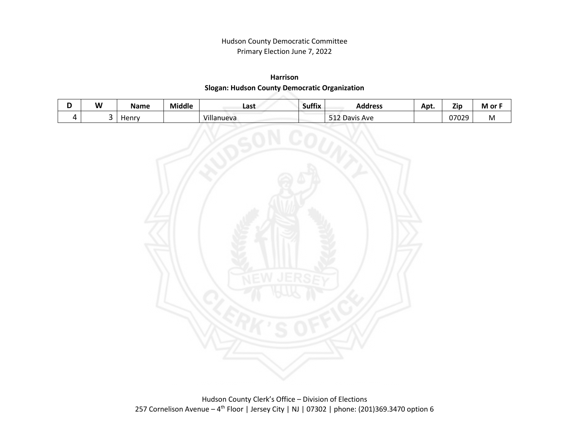## **Harrison Slogan: Hudson County Democratic Organization**

| W | Name  | <b>Middle</b> | Last            | <br>Suffix | Address             | Apt. | <b>Zip</b> | M or       |
|---|-------|---------------|-----------------|------------|---------------------|------|------------|------------|
|   | Henry |               | .<br>Villanueva |            | Ave<br>Davis<br>--- |      | 07029      | <b>IVI</b> |

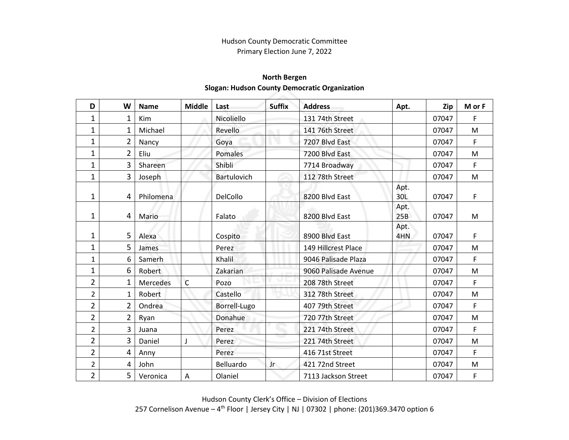## **North Bergen Slogan: Hudson County Democratic Organization**

| D              | W              | <b>Name</b>     | <b>Middle</b> | Last               | <b>Suffix</b> | <b>Address</b>       | Apt.        | Zip   | M or F |
|----------------|----------------|-----------------|---------------|--------------------|---------------|----------------------|-------------|-------|--------|
| 1              | 1              | Kim             |               | Nicoliello         |               | 131 74th Street      |             | 07047 | F      |
| 1              | 1              | Michael         |               | Revello            |               | 141 76th Street      |             | 07047 | M      |
| $\mathbf 1$    | $\overline{2}$ | Nancy           |               | Goya               |               | 7207 Blvd East       |             | 07047 | F      |
| 1              | $\overline{2}$ | Eliu            |               | Pomales            |               | 7200 Blvd East       |             | 07047 | M      |
| $\mathbf 1$    | 3              | Shareen         |               | Shibli             |               | 7714 Broadway        |             | 07047 | F      |
| 1              | 3              | Joseph          |               | <b>Bartulovich</b> |               | 112 78th Street      |             | 07047 | M      |
| 1              | 4              | Philomena       |               | DelCollo           |               | 8200 Blvd East       | Apt.<br>30L | 07047 | F      |
| 1              | 4              | Mario           |               | Falato             |               | 8200 Blvd East       | Apt.<br>25B | 07047 | M      |
| 1              | 5              | Alexa           |               | Cospito            |               | 8900 Blvd East       | Apt.<br>4HN | 07047 | F      |
| 1              | 5              | James           |               | Perez              |               | 149 Hillcrest Place  |             | 07047 | M      |
| $\mathbf{1}$   | 6              | Samerh          |               | Khalil             |               | 9046 Palisade Plaza  |             | 07047 | F      |
| 1              | 6              | Robert          |               | Zakarian           |               | 9060 Palisade Avenue |             | 07047 | M      |
| $\overline{2}$ | 1              | <b>Mercedes</b> | $\mathsf{C}$  | Pozo               |               | 208 78th Street      |             | 07047 | F      |
| $\overline{2}$ | 1              | Robert          |               | Castello           |               | 312 78th Street      |             | 07047 | M      |
| $\overline{2}$ | $\overline{2}$ | Ondrea          |               | Borrell-Lugo       |               | 407 79th Street      |             | 07047 | F      |
| $\overline{2}$ | $\overline{2}$ | Ryan            |               | Donahue            |               | 720 77th Street      |             | 07047 | M      |
| $\overline{2}$ | 3              | Juana           |               | Perez              |               | 221 74th Street      |             | 07047 | F      |
| $\overline{2}$ | 3              | Daniel          | J             | Perez              |               | 221 74th Street      |             | 07047 | M      |
| $\overline{2}$ | 4              | Anny            |               | Perez              |               | 416 71st Street      |             | 07047 | F      |
| $\overline{2}$ | 4              | John            |               | Belluardo          | Jr.           | 421 72nd Street      |             | 07047 | M      |
| $\overline{2}$ | 5              | Veronica        | $\mathsf A$   | Olaniel            |               | 7113 Jackson Street  |             | 07047 | F      |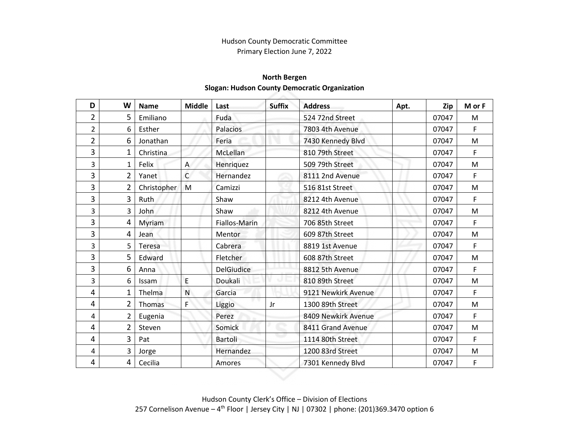# **North Bergen Slogan: Hudson County Democratic Organization**

| D              | W              | <b>Name</b>  | <b>Middle</b> | Last              | <b>Suffix</b> | <b>Address</b>      | Apt. | Zip   | M or F |
|----------------|----------------|--------------|---------------|-------------------|---------------|---------------------|------|-------|--------|
| $\overline{2}$ | 5              | Emiliano     |               | Fuda              |               | 524 72nd Street     |      | 07047 | M      |
| $\overline{2}$ | 6              | Esther       |               | Palacios          |               | 7803 4th Avenue     |      | 07047 | F      |
| $\overline{2}$ | 6              | Jonathan     |               | Feria             |               | 7430 Kennedy Blvd   |      | 07047 | M      |
| 3              | $\mathbf 1$    | Christina    |               | McLellan          |               | 810 79th Street     |      | 07047 | F      |
| 3              | 1              | Felix        | A             | Henriquez         |               | 509 79th Street     |      | 07047 | M      |
| 3              | $\overline{2}$ | Yanet        | $\mathsf{C}$  | Hernandez         |               | 8111 2nd Avenue     |      | 07047 | F      |
| 3              | $\overline{2}$ | Christopher  | M             | Camizzi           |               | 516 81st Street     |      | 07047 | M      |
| 3              | 3              | Ruth         |               | Shaw              |               | 8212 4th Avenue     |      | 07047 | F      |
| 3              | 3              | John         |               | Shaw              |               | 8212 4th Avenue     |      | 07047 | M      |
| 3              | 4              | Myriam       |               | Fiallos-Marin     |               | 706 85th Street     |      | 07047 | F      |
| 3              | 4              | Jean         |               | Mentor            |               | 609 87th Street     |      | 07047 | M      |
| 3              | 5              | Teresa       |               | Cabrera           |               | 8819 1st Avenue     |      | 07047 | F      |
| 3              | 5              | Edward       |               | Fletcher          |               | 608 87th Street     |      | 07047 | M      |
| 3              | 6              | Anna         |               | <b>DelGiudice</b> |               | 8812 5th Avenue     |      | 07047 | F      |
| 3              | 6              | <b>Issam</b> | E             | Doukali           |               | 810 89th Street     |      | 07047 | M      |
| 4              | 1              | Thelma       | N             | Garcia            |               | 9121 Newkirk Avenue |      | 07047 | F      |
| 4              | 2              | Thomas       | F             | Liggio            | Jr            | 1300 89th Street    |      | 07047 | M      |
| 4              | 2              | Eugenia      |               | Perez             |               | 8409 Newkirk Avenue |      | 07047 | F      |
| 4              | $\overline{2}$ | Steven       |               | Somick            |               | 8411 Grand Avenue   |      | 07047 | M      |
| 4              | 3              | Pat          |               | Bartoli           |               | 1114 80th Street    |      | 07047 | F      |
| 4              | 3              | Jorge        |               | Hernandez         |               | 1200 83rd Street    |      | 07047 | M      |
| 4              | 4              | Cecilia      |               | Amores            |               | 7301 Kennedy Blvd   |      | 07047 | F      |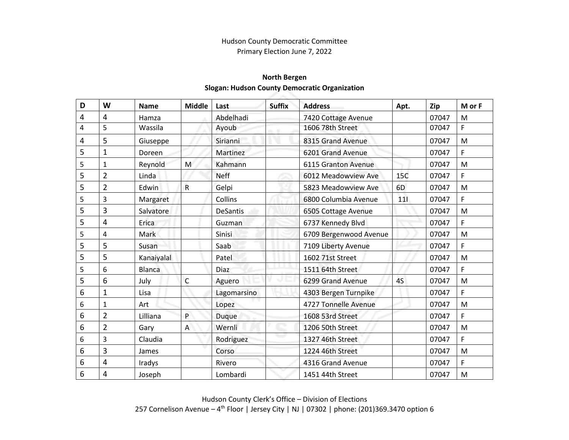# **North Bergen Slogan: Hudson County Democratic Organization**

| D | W              | <b>Name</b>   | <b>Middle</b> | Last            | <b>Suffix</b> | <b>Address</b>         | Apt.           | Zip   | M or F    |
|---|----------------|---------------|---------------|-----------------|---------------|------------------------|----------------|-------|-----------|
| 4 | 4              | Hamza         |               | Abdelhadi       |               | 7420 Cottage Avenue    |                | 07047 | M         |
| 4 | 5              | Wassila       |               | Ayoub           |               | 1606 78th Street       |                | 07047 | F         |
| 4 | 5              | Giuseppe      |               | Sirianni        |               | 8315 Grand Avenue      |                | 07047 | M         |
| 5 | $\mathbf 1$    | Doreen        |               | Martinez        |               | 6201 Grand Avenue      |                | 07047 | F         |
| 5 | $\mathbf{1}$   | Reynold       | M             | Kahmann         |               | 6115 Granton Avenue    |                | 07047 | M         |
| 5 | $\overline{2}$ | Linda         |               | <b>Neff</b>     |               | 6012 Meadowview Ave    | 15C            | 07047 | F         |
| 5 | $\overline{2}$ | Edwin         | $\mathsf{R}$  | Gelpi           |               | 5823 Meadowview Ave    | 6 <sub>D</sub> | 07047 | M         |
| 5 | 3              | Margaret      |               | Collins         |               | 6800 Columbia Avenue   | 111            | 07047 | F         |
| 5 | 3              | Salvatore     |               | <b>DeSantis</b> |               | 6505 Cottage Avenue    |                | 07047 | M         |
| 5 | 4              | Erica         |               | Guzman          |               | 6737 Kennedy Blvd      |                | 07047 | F         |
| 5 | 4              | Mark          |               | Sinisi          |               | 6709 Bergenwood Avenue |                | 07047 | M         |
| 5 | 5              | Susan         |               | Saab            |               | 7109 Liberty Avenue    |                | 07047 | F         |
| 5 | 5              | Kanaiyalal    |               | Patel           |               | 1602 71st Street       |                | 07047 | M         |
| 5 | 6              | <b>Blanca</b> |               | Diaz            |               | 1511 64th Street       |                | 07047 | F         |
| 5 | 6              | July          | $\mathsf{C}$  | Aguero          |               | 6299 Grand Avenue      | 4S             | 07047 | M         |
| 6 | $\mathbf 1$    | Lisa          |               | Lagomarsino     |               | 4303 Bergen Turnpike   |                | 07047 | F         |
| 6 | $\mathbf{1}$   | Art           |               | Lopez           |               | 4727 Tonnelle Avenue   |                | 07047 | M         |
| 6 | $\overline{2}$ | Lilliana      | P             | Duque           |               | 1608 53rd Street       |                | 07047 | F         |
| 6 | $\overline{2}$ | Gary          | A             | Wernli          |               | 1206 50th Street       |                | 07047 | M         |
| 6 | 3              | Claudia       |               | Rodriguez       |               | 1327 46th Street       |                | 07047 | F         |
| 6 | 3              | James         |               | Corso           |               | 1224 46th Street       |                | 07047 | M         |
| 6 | 4              | Iradys        |               | Rivero          |               | 4316 Grand Avenue      |                | 07047 | F         |
| 6 | 4              | Joseph        |               | Lombardi        |               | 1451 44th Street       |                | 07047 | ${\sf M}$ |